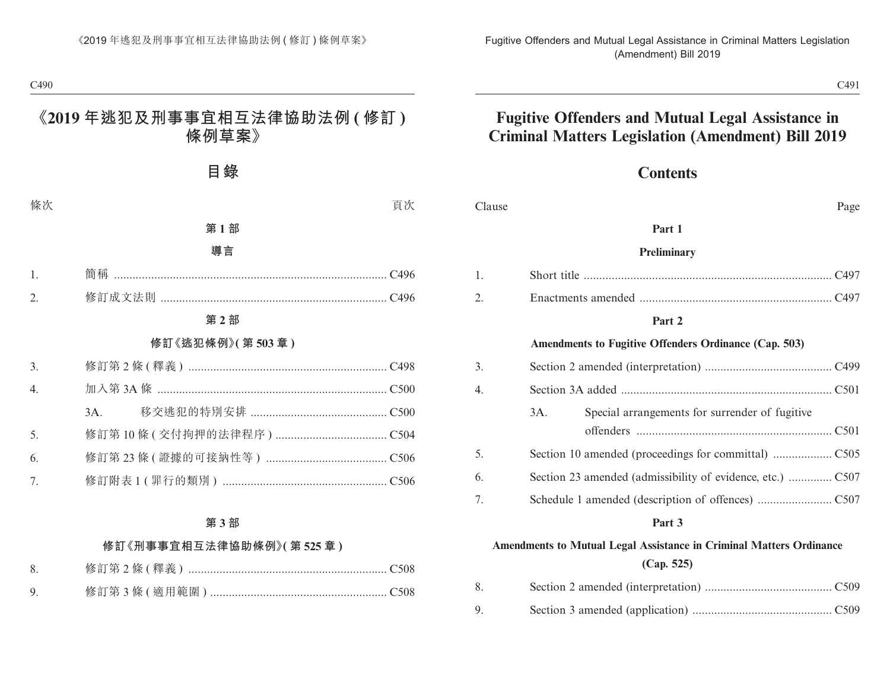### **Contents**

| Clause | Page                                                                       |
|--------|----------------------------------------------------------------------------|
|        | Part 1                                                                     |
|        | Preliminary                                                                |
| 1.     |                                                                            |
| 2.     |                                                                            |
|        | Part 2                                                                     |
|        | Amendments to Fugitive Offenders Ordinance (Cap. 503)                      |
| 3.     |                                                                            |
| 4.     |                                                                            |
|        | Special arrangements for surrender of fugitive<br>3A.                      |
| 5.     |                                                                            |
| 6.     |                                                                            |
| 7.     |                                                                            |
|        | Part 3                                                                     |
|        | <b>Amendments to Mutual Legal Assistance in Criminal Matters Ordinance</b> |
|        | (Cap. 525)                                                                 |
| 8.     |                                                                            |
| 9.     |                                                                            |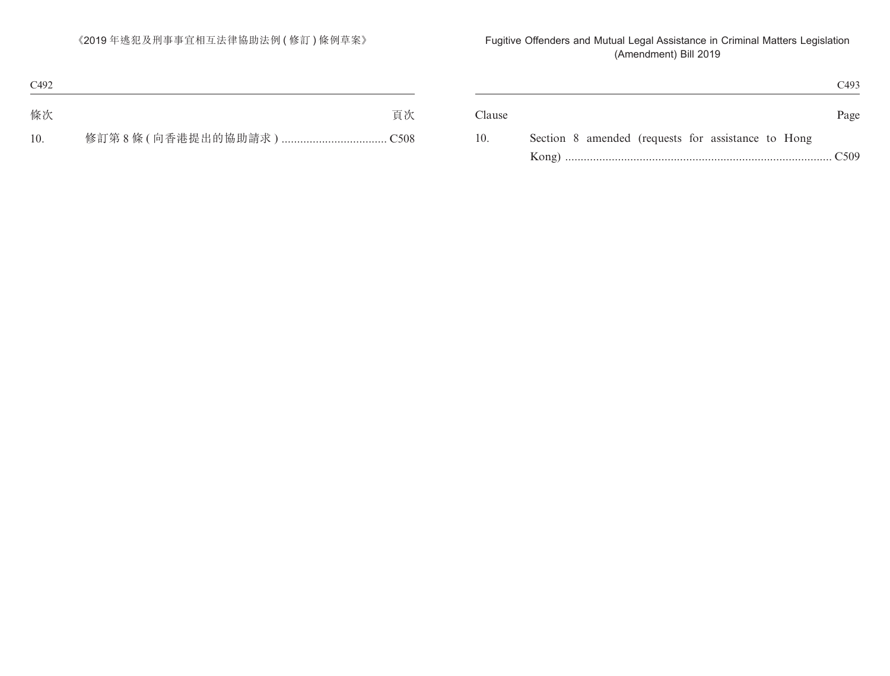|                                                    | C493              |
|----------------------------------------------------|-------------------|
|                                                    | Page              |
| Section 8 amended (requests for assistance to Hong |                   |
|                                                    | $\overline{C509}$ |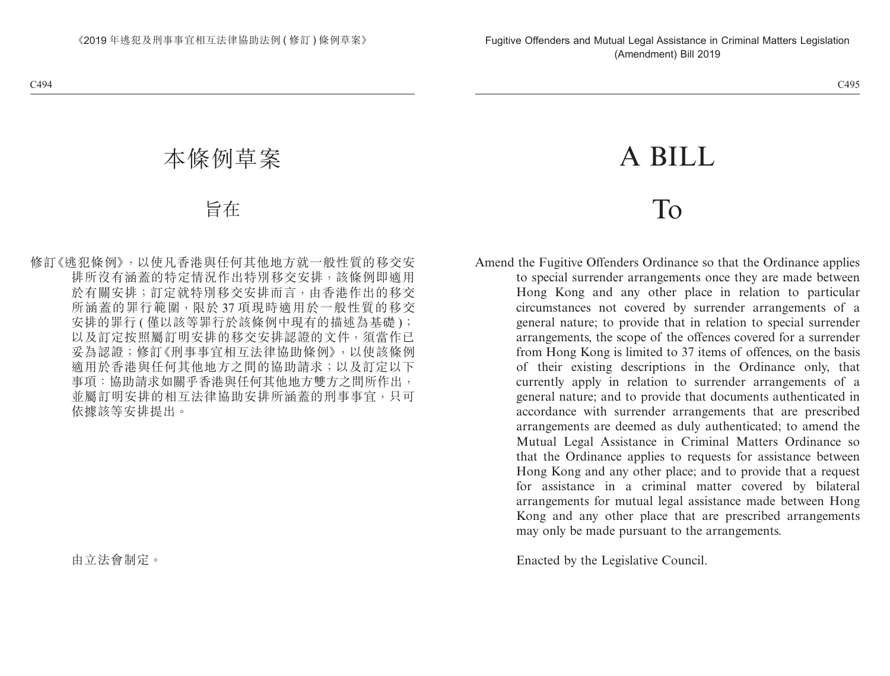# A BILL

## To

Amend the Fugitive Offenders Ordinance so that the Ordinance applies to special surrender arrangements once they are made between Hong Kong and any other place in relation to particular circumstances not covered by surrender arrangements of a general nature; to provide that in relation to special surrender arrangements, the scope of the offences covered for a surrender from Hong Kong is limited to 37 items of offences, on the basis of their existing descriptions in the Ordinance only, that currently apply in relation to surrender arrangements of a general nature; and to provide that documents authenticated in accordance with surrender arrangements that are prescribed arrangements are deemed as duly authenticated; to amend the Mutual Legal Assistance in Criminal Matters Ordinance so that the Ordinance applies to requests for assistance between Hong Kong and any other place; and to provide that a request for assistance in a criminal matter covered by bilateral arrangements for mutual legal assistance made between Hong Kong and any other place that are prescribed arrangements may only be made pursuant to the arrangements.

Enacted by the Legislative Council.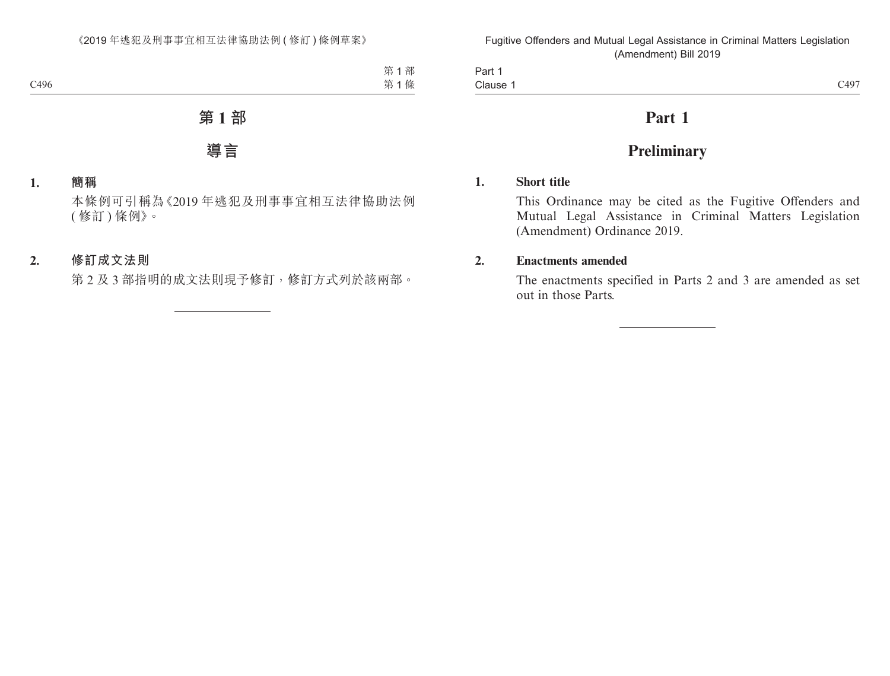| 7107<br>Clause :<br>-49<br>$\sim$ 12.<br>__ | יart<br>__ |  |
|---------------------------------------------|------------|--|
|                                             |            |  |

## **Part 1**

## **Preliminary**

#### **1. Short title**

This Ordinance may be cited as the Fugitive Offenders and Mutual Legal Assistance in Criminal Matters Legislation (Amendment) Ordinance 2019.

#### **2. Enactments amended**

The enactments specified in Parts 2 and 3 are amended as set out in those Parts.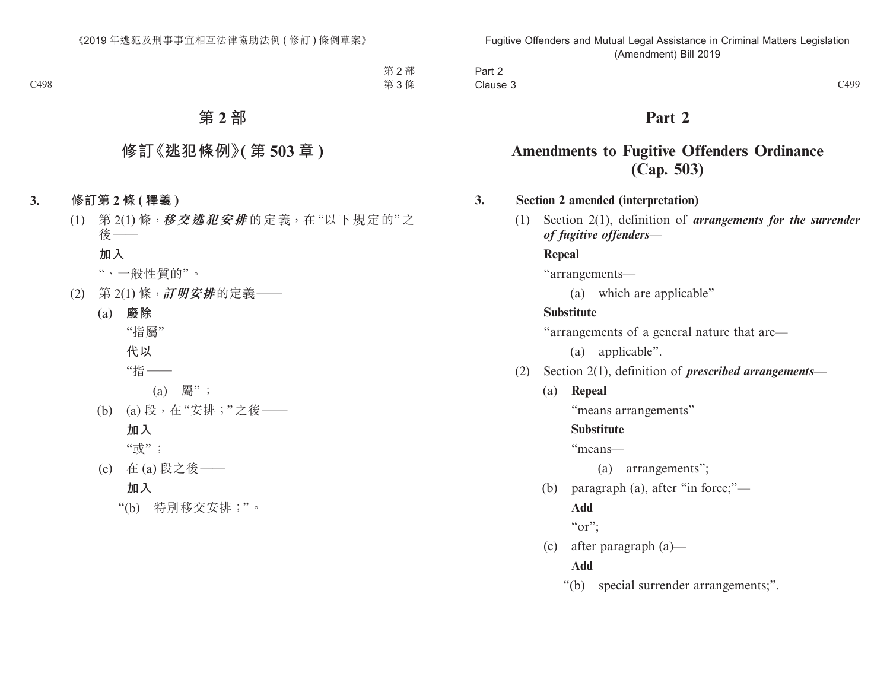| Clause 3                                                        | C499 |
|-----------------------------------------------------------------|------|
| Part 2                                                          |      |
| <b>Amendments to Fugitive Offenders Ordinance</b><br>(Cap. 503) |      |

#### **3. Section 2 amended (interpretation)**

(1) Section 2(1), definition of *arrangements for the surrender of fugitive offenders*—

#### **Repeal**

Part 2

"arrangements—

(a) which are applicable"

#### **Substitute**

"arrangements of a general nature that are—

(a) applicable".

- (2) Section 2(1), definition of *prescribed arrangements*
	- (a) **Repeal**

"means arrangements"

#### **Substitute**

"means—

(a) arrangements";

(b) paragraph (a), after "in force;"—

#### **Add**

" $or$ ";

(c) after paragraph (a)—

#### **Add**

"(b) special surrender arrangements;".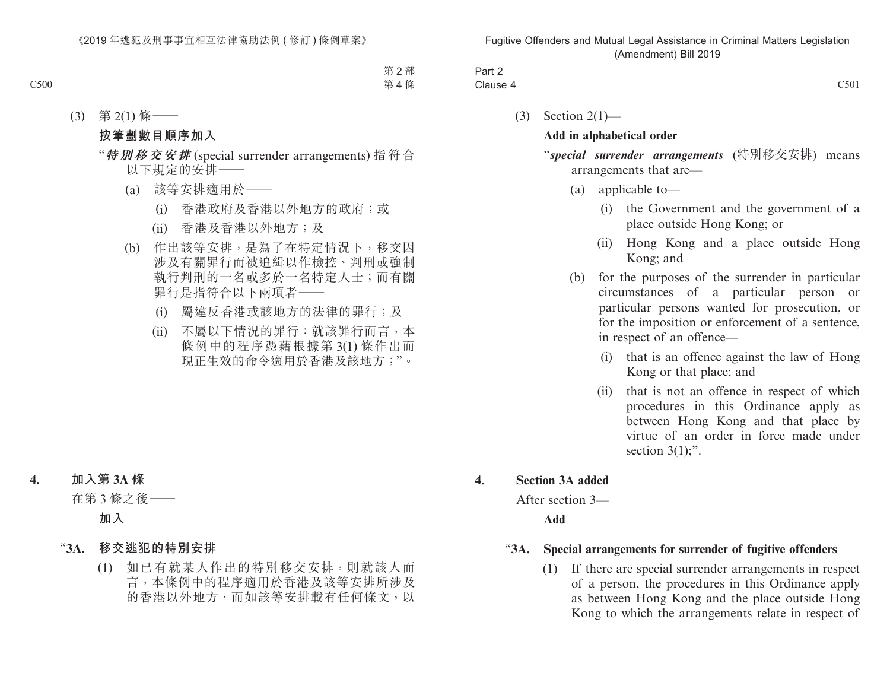| $\overline{\phantom{0}}$<br>Part ∠ |                                                                    |
|------------------------------------|--------------------------------------------------------------------|
| Clause                             | ~1501<br>$\sim$<br>the contract of the contract of the contract of |
|                                    |                                                                    |

(3) Section 2(1)—

#### **Add in alphabetical order**

"*special surrender arrangements* (特別移交安排) means arrangements that are—

- (a) applicable to—
	- (i) the Government and the government of a place outside Hong Kong; or
	- (ii) Hong Kong and a place outside Hong Kong; and
- (b) for the purposes of the surrender in particular circumstances of a particular person or particular persons wanted for prosecution, or for the imposition or enforcement of a sentence, in respect of an offence—
	- (i) that is an offence against the law of Hong Kong or that place; and
	- (ii) that is not an offence in respect of which procedures in this Ordinance apply as between Hong Kong and that place by virtue of an order in force made under section  $3(1)$ ;".

#### **4. Section 3A added**

After section 3—

**Add**

#### "**3A. Special arrangements for surrender of fugitive offenders**

(1) If there are special surrender arrangements in respect of a person, the procedures in this Ordinance apply as between Hong Kong and the place outside Hong Kong to which the arrangements relate in respect of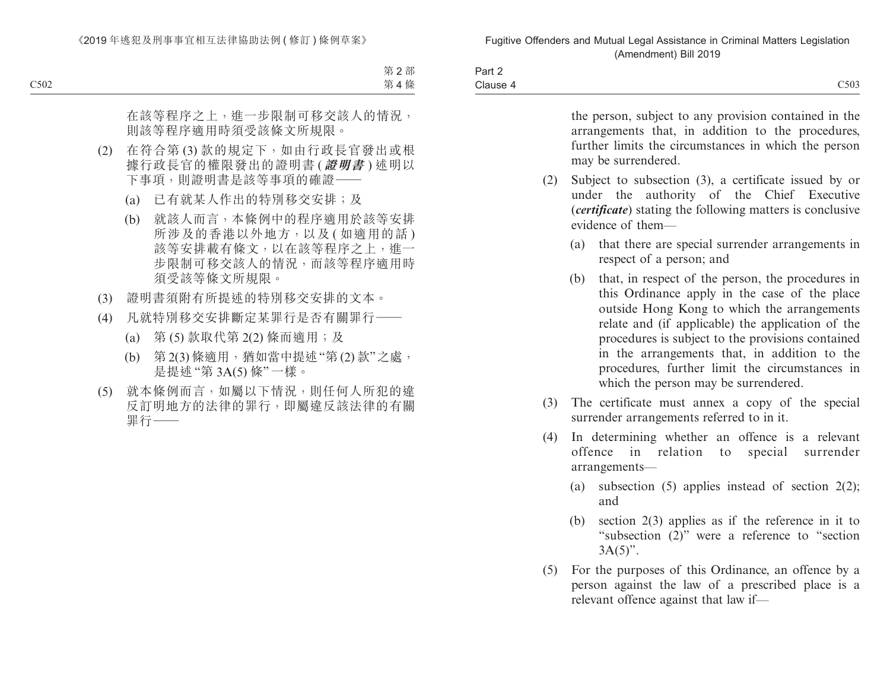| Part 2   |      |
|----------|------|
| Clause 4 | C503 |

the person, subject to any provision contained in the arrangements that, in addition to the procedures, further limits the circumstances in which the person may be surrendered. (2) Subject to subsection (3), a certificate issued by or under the authority of the Chief Executive (*certificate*) stating the following matters is conclusive evidence of them— (a) that there are special surrender arrangements in respect of a person; and (b) that, in respect of the person, the procedures in this Ordinance apply in the case of the place outside Hong Kong to which the arrangements relate and (if applicable) the application of the procedures is subject to the provisions contained in the arrangements that, in addition to the procedures, further limit the circumstances in which the person may be surrendered. (3) The certificate must annex a copy of the special surrender arrangements referred to in it. (4) In determining whether an offence is a relevant

- offence in relation to special surrender arrangements—
	- (a) subsection  $(5)$  applies instead of section  $2(2)$ ; and
	- (b) section 2(3) applies as if the reference in it to "subsection (2)" were a reference to "section  $3A(5)$ ".
- (5) For the purposes of this Ordinance, an offence by a person against the law of a prescribed place is a relevant offence against that law if—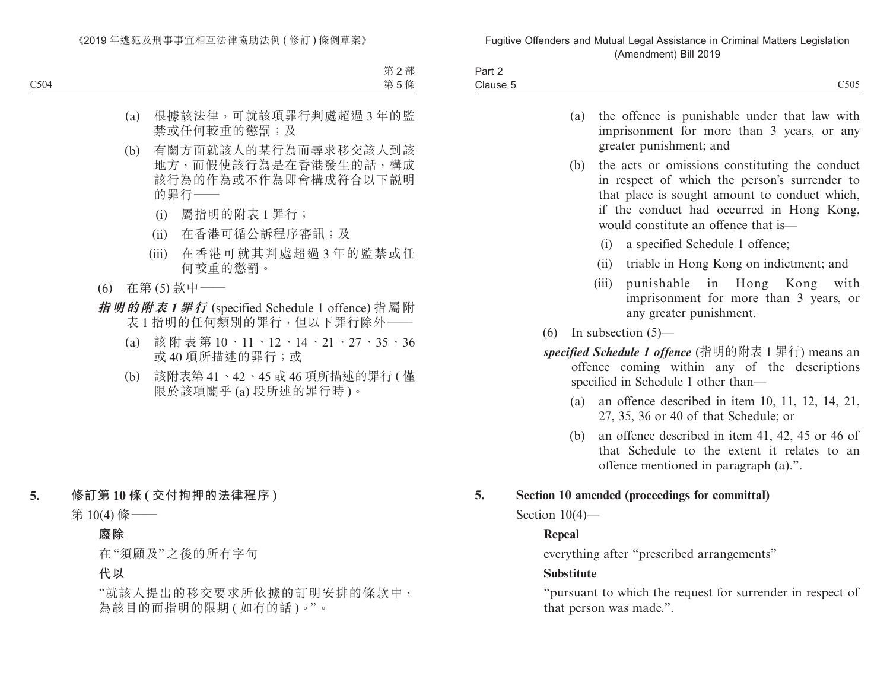| $.$ $.$ $.$ $.$ $.$<br><b>Fail</b> |      |
|------------------------------------|------|
| Clause 5                           | C505 |

|                                                                                                                                            |                                                                                                                                                                                                                                       | (a) the offence is punishable under that law with<br>imprisonment for more than 3 years, or any<br>greater punishment; and |  |  |  |
|--------------------------------------------------------------------------------------------------------------------------------------------|---------------------------------------------------------------------------------------------------------------------------------------------------------------------------------------------------------------------------------------|----------------------------------------------------------------------------------------------------------------------------|--|--|--|
| (b)                                                                                                                                        | the acts or omissions constituting the conduct<br>in respect of which the person's surrender to<br>that place is sought amount to conduct which,<br>if the conduct had occurred in Hong Kong,<br>would constitute an offence that is— |                                                                                                                            |  |  |  |
| a specified Schedule 1 offence;<br>(i)                                                                                                     |                                                                                                                                                                                                                                       |                                                                                                                            |  |  |  |
|                                                                                                                                            | (ii)                                                                                                                                                                                                                                  | triable in Hong Kong on indictment; and                                                                                    |  |  |  |
|                                                                                                                                            |                                                                                                                                                                                                                                       | (iii) punishable in Hong Kong with<br>imprisonment for more than 3 years, or<br>any greater punishment.                    |  |  |  |
|                                                                                                                                            |                                                                                                                                                                                                                                       | $(6)$ In subsection $(5)$ —                                                                                                |  |  |  |
| specified Schedule 1 offence (指明的附表 1 罪行) means an<br>offence coming within any of the descriptions<br>specified in Schedule 1 other than— |                                                                                                                                                                                                                                       |                                                                                                                            |  |  |  |

- (a) an offence described in item 10, 11, 12, 14, 21, 27, 35, 36 or 40 of that Schedule; or
- (b) an offence described in item 41, 42, 45 or 46 of that Schedule to the extent it relates to an offence mentioned in paragraph (a).".

#### **5. Section 10 amended (proceedings for committal)**

Section 10(4)—

#### **Repeal**

everything after "prescribed arrangements"

#### **Substitute**

"pursuant to which the request for surrender in respect of that person was made.".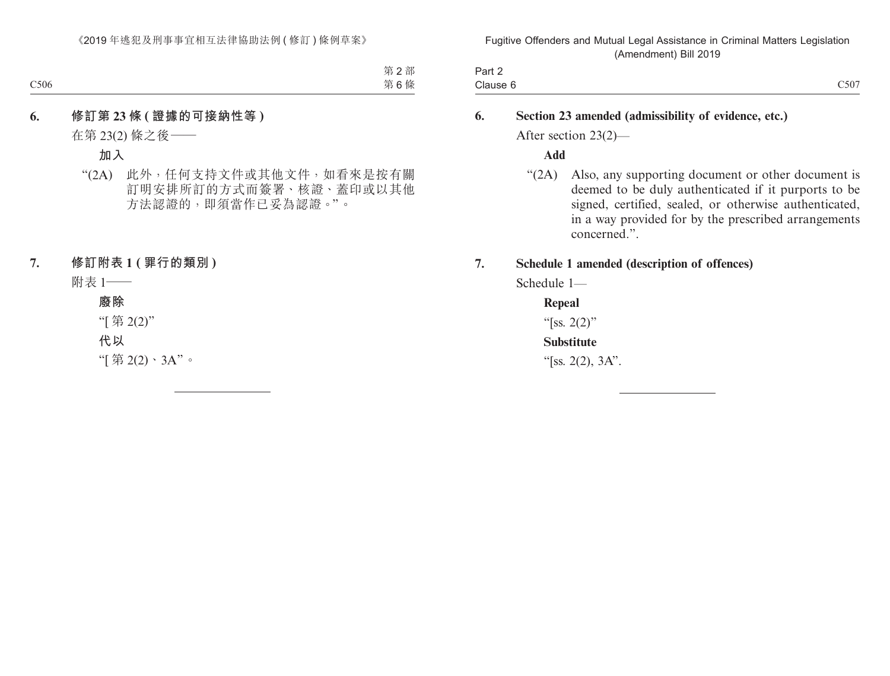| $\overline{\phantom{0}}$<br>Part 2 |      |
|------------------------------------|------|
| Clause 6                           | C507 |

#### **6. Section 23 amended (admissibility of evidence, etc.)**

After section 23(2)—

**Add**

"(2A) Also, any supporting document or other document is deemed to be duly authenticated if it purports to be signed, certified, sealed, or otherwise authenticated, in a way provided for by the prescribed arrangements concerned.".

#### **7. Schedule 1 amended (description of offences)**

Schedule 1—

**Repeal**

"[ss.  $2(2)$ "

**Substitute**

"[ss. 2(2),  $3A$ ".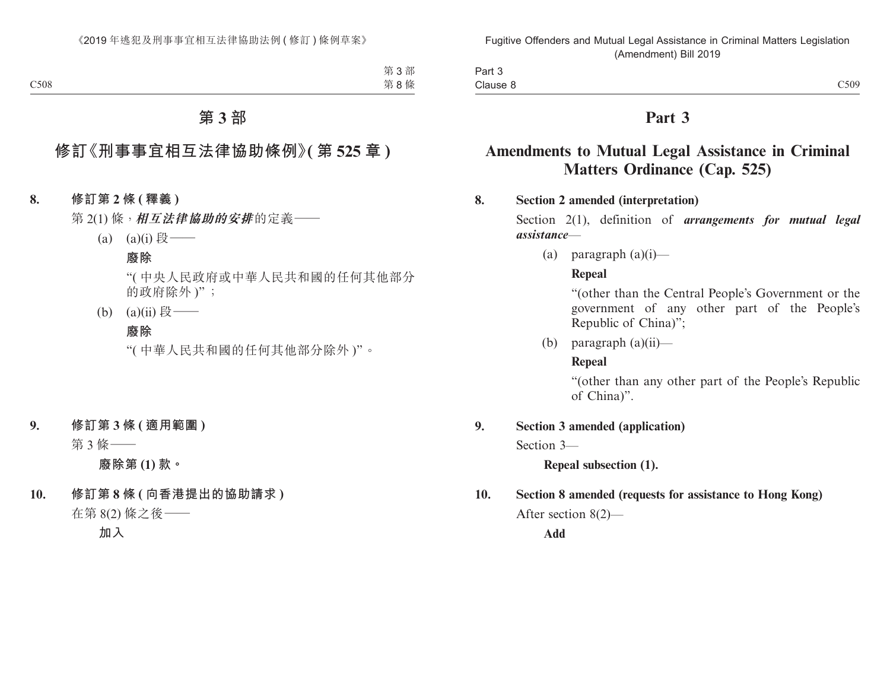| Part 3   |      |
|----------|------|
| Clause 8 | C509 |

## **Part 3**

## **Amendments to Mutual Legal Assistance in Criminal Matters Ordinance (Cap. 525)**

#### **8. Section 2 amended (interpretation)**

Section 2(1), definition of *arrangements for mutual legal assistance*—

(a) paragraph  $(a)(i)$ —

#### **Repeal**

"(other than the Central People's Government or the government of any other part of the People's Republic of China)";

(b) paragraph  $(a)(ii)$ —

#### **Repeal**

"(other than any other part of the People's Republic of China)".

#### **9. Section 3 amended (application)**

Section 3—

**Repeal subsection (1).**

## **10. Section 8 amended (requests for assistance to Hong Kong)**

After section 8(2)—

**Add**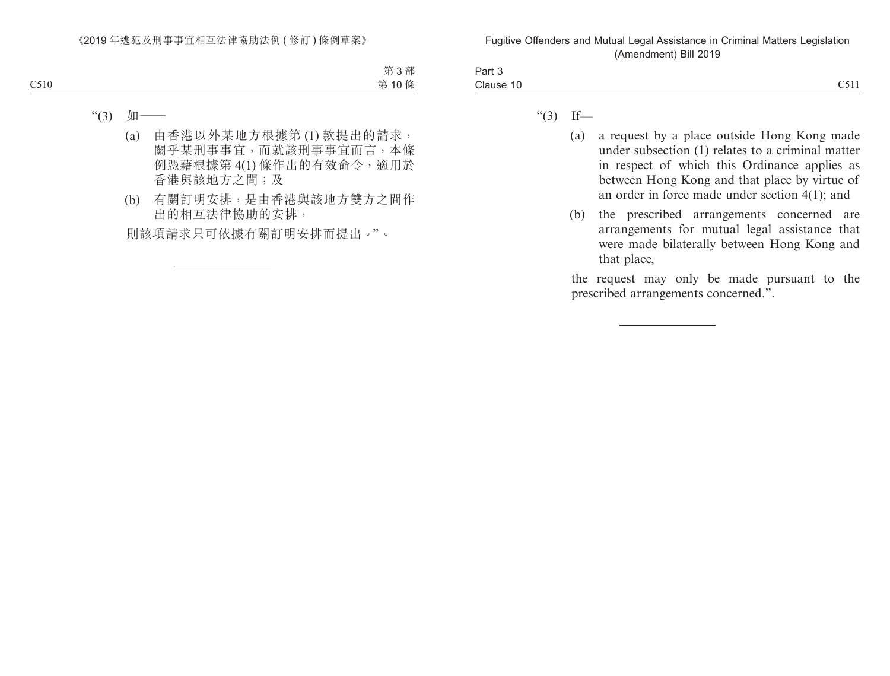| Part 5<br>. |                     |
|-------------|---------------------|
| Clause 10   | $\sim -1$<br>UJ 1.1 |
|             |                     |

- " $(3)$  If—
	- (a) a request by a place outside Hong Kong made under subsection (1) relates to a criminal matter in respect of which this Ordinance applies as between Hong Kong and that place by virtue of an order in force made under section 4(1); and
	- (b) the prescribed arrangements concerned are arrangements for mutual legal assistance that were made bilaterally between Hong Kong and that place,

the request may only be made pursuant to the prescribed arrangements concerned.".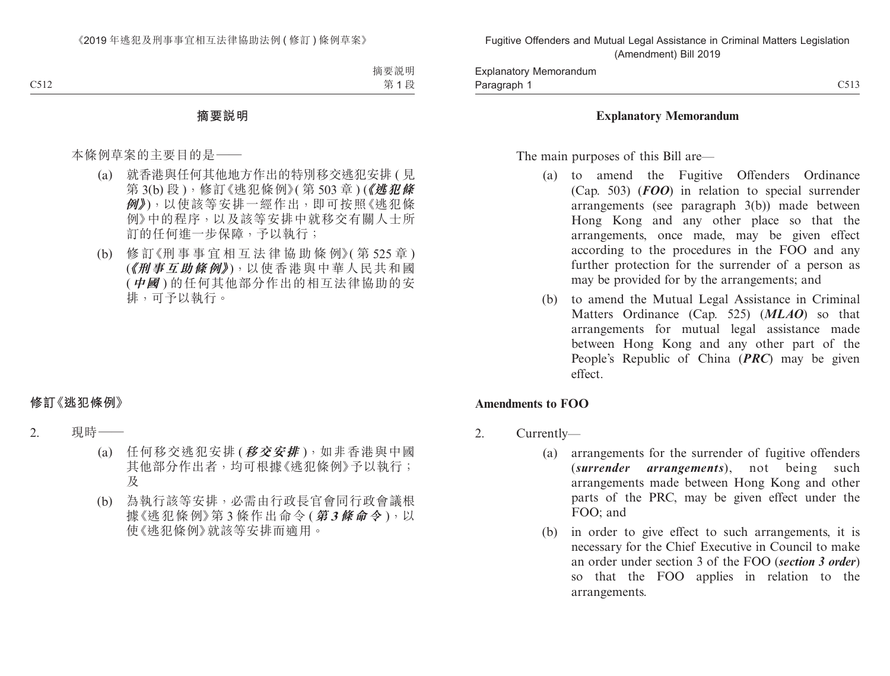#### **Explanatory Memorandum**

The main purposes of this Bill are—

- (a) to amend the Fugitive Offenders Ordinance (Cap. 503) (*FOO*) in relation to special surrender arrangements (see paragraph 3(b)) made between Hong Kong and any other place so that the arrangements, once made, may be given effect according to the procedures in the FOO and any further protection for the surrender of a person as may be provided for by the arrangements; and
- (b) to amend the Mutual Legal Assistance in Criminal Matters Ordinance (Cap. 525) (*MLAO*) so that arrangements for mutual legal assistance made between Hong Kong and any other part of the People's Republic of China (*PRC*) may be given effect.

#### **Amendments to FOO**

- 2. Currently—
	- (a) arrangements for the surrender of fugitive offenders (*surrender arrangements*), not being such arrangements made between Hong Kong and other parts of the PRC, may be given effect under the FOO; and
	- (b) in order to give effect to such arrangements, it is necessary for the Chief Executive in Council to make an order under section 3 of the FOO (*section 3 order*) so that the FOO applies in relation to the arrangements.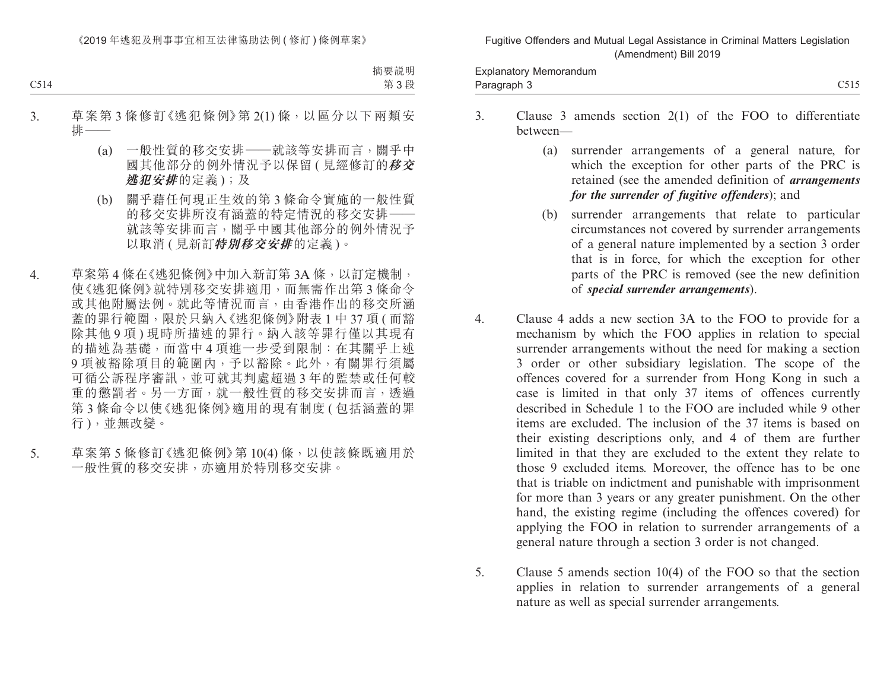Paragraph 3 and 2011 C515 Explanatory Memorandum Paragraph 3

- 3. Clause 3 amends section 2(1) of the FOO to differentiate between—
	- (a) surrender arrangements of a general nature, for which the exception for other parts of the PRC is retained (see the amended definition of *arrangements for the surrender of fugitive offenders*); and
	- (b) surrender arrangements that relate to particular circumstances not covered by surrender arrangements of a general nature implemented by a section 3 order that is in force, for which the exception for other parts of the PRC is removed (see the new definition of *special surrender arrangements*).
- 4. Clause 4 adds a new section 3A to the FOO to provide for a mechanism by which the FOO applies in relation to special surrender arrangements without the need for making a section 3 order or other subsidiary legislation. The scope of the offences covered for a surrender from Hong Kong in such a case is limited in that only 37 items of offences currently described in Schedule 1 to the FOO are included while 9 other items are excluded. The inclusion of the 37 items is based on their existing descriptions only, and 4 of them are further limited in that they are excluded to the extent they relate to those 9 excluded items. Moreover, the offence has to be one that is triable on indictment and punishable with imprisonment for more than 3 years or any greater punishment. On the other hand, the existing regime (including the offences covered) for applying the FOO in relation to surrender arrangements of a general nature through a section 3 order is not changed.
- 5. Clause 5 amends section 10(4) of the FOO so that the section applies in relation to surrender arrangements of a general nature as well as special surrender arrangements.